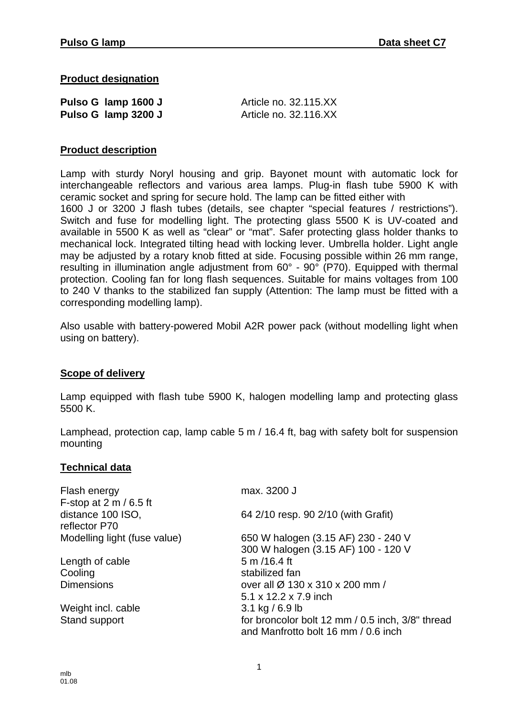**Product designation**

| Pulso G lamp 1600 J | Article no. 32.115.XX |  |
|---------------------|-----------------------|--|
| Pulso G lamp 3200 J | Article no. 32.116.XX |  |

### **Product description**

Lamp with sturdy Noryl housing and grip. Bayonet mount with automatic lock for interchangeable reflectors and various area lamps. Plug-in flash tube 5900 K with ceramic socket and spring for secure hold. The lamp can be fitted either with 1600 J or 3200 J flash tubes (details, see chapter "special features / restrictions"). Switch and fuse for modelling light. The protecting glass 5500 K is UV-coated and available in 5500 K as well as "clear" or "mat". Safer protecting glass holder thanks to mechanical lock. Integrated tilting head with locking lever. Umbrella holder. Light angle may be adjusted by a rotary knob fitted at side. Focusing possible within 26 mm range, resulting in illumination angle adjustment from 60° - 90° (P70). Equipped with thermal protection. Cooling fan for long flash sequences. Suitable for mains voltages from 100 to 240 V thanks to the stabilized fan supply (Attention: The lamp must be fitted with a corresponding modelling lamp).

Also usable with battery-powered Mobil A2R power pack (without modelling light when using on battery).

#### **Scope of delivery**

Lamp equipped with flash tube 5900 K, halogen modelling lamp and protecting glass 5500 K.

Lamphead, protection cap, lamp cable 5 m / 16.4 ft, bag with safety bolt for suspension mounting

#### **Technical data**

| Flash energy                       | max. 3200 J                                                                             |
|------------------------------------|-----------------------------------------------------------------------------------------|
| F-stop at 2 m / 6.5 ft             |                                                                                         |
| distance 100 ISO,<br>reflector P70 | 64 2/10 resp. 90 2/10 (with Grafit)                                                     |
| Modelling light (fuse value)       | 650 W halogen (3.15 AF) 230 - 240 V                                                     |
|                                    | 300 W halogen (3.15 AF) 100 - 120 V                                                     |
| Length of cable                    | 5 m /16.4 ft                                                                            |
| Cooling                            | stabilized fan                                                                          |
| <b>Dimensions</b>                  | over all Ø 130 x 310 x 200 mm /                                                         |
|                                    | 5.1 x 12.2 x 7.9 inch                                                                   |
| Weight incl. cable                 | 3.1 kg / 6.9 lb                                                                         |
| Stand support                      | for broncolor bolt 12 mm / 0.5 inch, 3/8" thread<br>and Manfrotto bolt 16 mm / 0.6 inch |
|                                    |                                                                                         |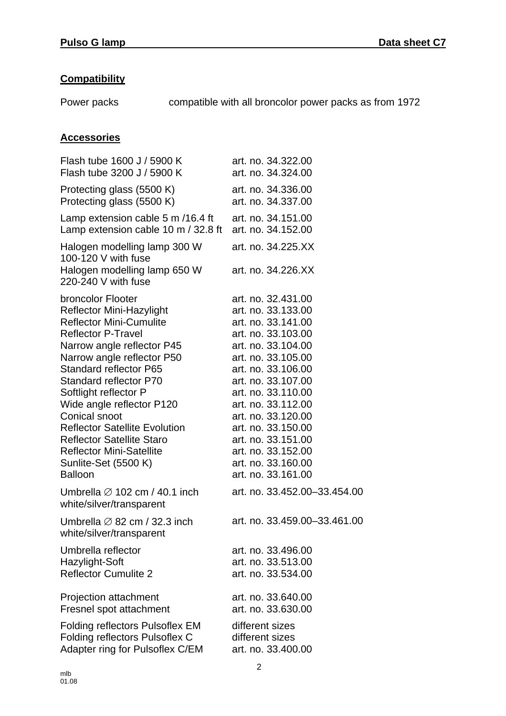## **Compatibility**

Power packs compatible with all broncolor power packs as from 1972

# **Accessories**

| Flash tube 1600 J / 5900 K                                                                                 | art. no. 34.322.00                       |
|------------------------------------------------------------------------------------------------------------|------------------------------------------|
| Flash tube 3200 J / 5900 K                                                                                 | art. no. 34.324.00                       |
| Protecting glass (5500 K)                                                                                  | art. no. 34.336.00                       |
| Protecting glass (5500 K)                                                                                  | art. no. 34.337.00                       |
| Lamp extension cable 5 m /16.4 ft                                                                          | art. no. 34.151.00                       |
| Lamp extension cable 10 m / 32.8 ft                                                                        | art. no. 34.152.00                       |
| Halogen modelling lamp 300 W<br>100-120 V with fuse<br>Halogen modelling lamp 650 W<br>220-240 V with fuse | art. no. 34.225.XX<br>art. no. 34.226.XX |
| broncolor Flooter                                                                                          | art. no. 32.431.00                       |
| <b>Reflector Mini-Hazylight</b>                                                                            | art. no. 33.133.00                       |
| <b>Reflector Mini-Cumulite</b>                                                                             | art. no. 33.141.00                       |
| <b>Reflector P-Travel</b>                                                                                  | art. no. 33.103.00                       |
| Narrow angle reflector P45                                                                                 | art. no. 33.104.00                       |
| Narrow angle reflector P50                                                                                 | art. no. 33.105.00                       |
| <b>Standard reflector P65</b>                                                                              | art. no. 33.106.00                       |
| Standard reflector P70                                                                                     | art. no. 33.107.00                       |
| Softlight reflector P                                                                                      | art. no. 33.110.00                       |
| Wide angle reflector P120                                                                                  | art. no. 33.112.00                       |
| <b>Conical snoot</b>                                                                                       | art. no. 33.120.00                       |
| <b>Reflector Satellite Evolution</b>                                                                       | art. no. 33.150.00                       |
| <b>Reflector Satellite Staro</b>                                                                           | art. no. 33.151.00                       |
| <b>Reflector Mini-Satellite</b>                                                                            | art. no. 33.152.00                       |
| Sunlite-Set (5500 K)                                                                                       | art. no. 33.160.00                       |
| <b>Balloon</b>                                                                                             | art. no. 33.161.00                       |
| Umbrella $\varnothing$ 102 cm / 40.1 inch<br>white/silver/transparent                                      | art. no. 33.452.00-33.454.00             |
| Umbrella $\varnothing$ 82 cm / 32.3 inch<br>white/silver/transparent                                       | art. no. 33.459.00-33.461.00             |
| Umbrella reflector                                                                                         | art. no. 33.496.00                       |
| Hazylight-Soft                                                                                             | art. no. 33.513.00                       |
| <b>Reflector Cumulite 2</b>                                                                                | art. no. 33.534.00                       |
| Projection attachment                                                                                      | art. no. 33.640.00                       |
| Fresnel spot attachment                                                                                    | art. no. 33.630.00                       |
| Folding reflectors Pulsoflex EM                                                                            | different sizes                          |
| Folding reflectors Pulsoflex C                                                                             | different sizes                          |
| Adapter ring for Pulsoflex C/EM                                                                            | art. no. 33.400.00                       |
|                                                                                                            |                                          |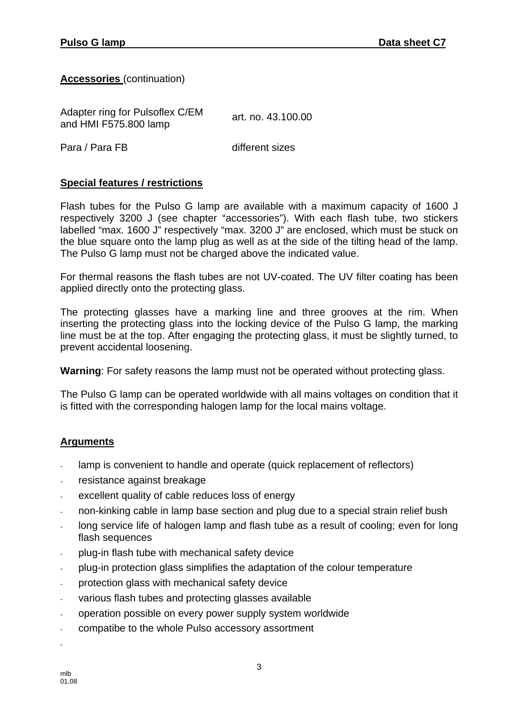**Accessories** (continuation)

Adapter ring for Pulsoflex C/EM Adapter ring for Pulsofiex C/EM art. no. 43.100.00<br>and HMI F575.800 lamp

Para / Para FB different sizes

### **Special features / restrictions**

Flash tubes for the Pulso G lamp are available with a maximum capacity of 1600 J respectively 3200 J (see chapter "accessories"). With each flash tube, two stickers labelled "max. 1600 J" respectively "max. 3200 J" are enclosed, which must be stuck on the blue square onto the lamp plug as well as at the side of the tilting head of the lamp. The Pulso G lamp must not be charged above the indicated value.

For thermal reasons the flash tubes are not UV-coated. The UV filter coating has been applied directly onto the protecting glass.

The protecting glasses have a marking line and three grooves at the rim. When inserting the protecting glass into the locking device of the Pulso G lamp, the marking line must be at the top. After engaging the protecting glass, it must be slightly turned, to prevent accidental loosening.

**Warning**: For safety reasons the lamp must not be operated without protecting glass.

The Pulso G lamp can be operated worldwide with all mains voltages on condition that it is fitted with the corresponding halogen lamp for the local mains voltage.

### **Arguments**

- lamp is convenient to handle and operate (quick replacement of reflectors)
- resistance against breakage
- excellent quality of cable reduces loss of energy
- non-kinking cable in lamp base section and plug due to a special strain relief bush
- long service life of halogen lamp and flash tube as a result of cooling; even for long flash sequences
- plug-in flash tube with mechanical safety device
- plug-in protection glass simplifies the adaptation of the colour temperature
- protection glass with mechanical safety device
- various flash tubes and protecting glasses available
- operation possible on every power supply system worldwide
- compatibe to the whole Pulso accessory assortment

-